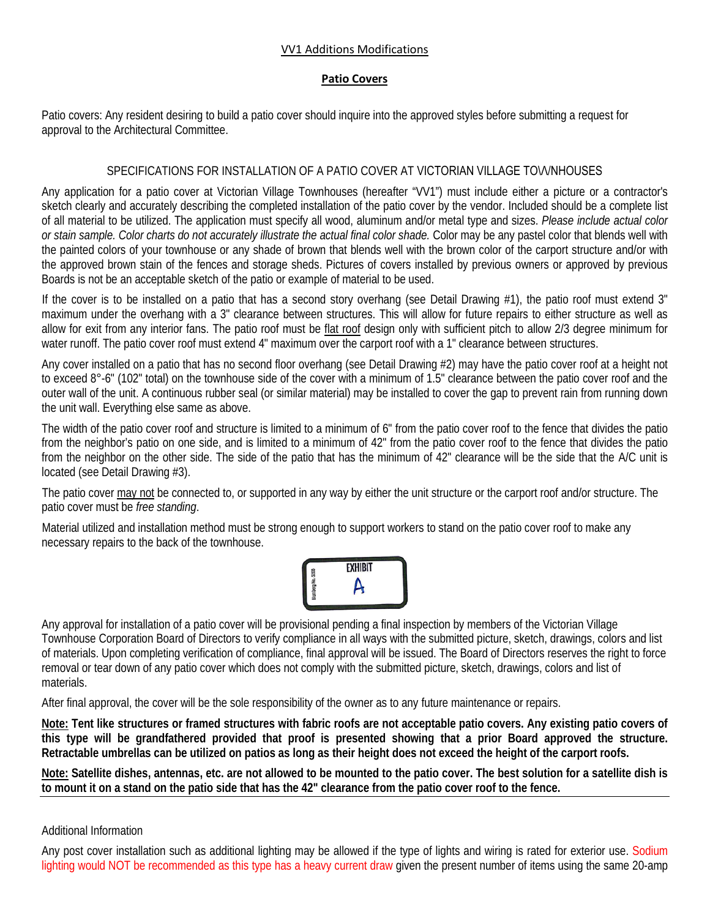## VV1 Additions Modifications

## **Patio Covers**

Patio covers: Any resident desiring to build a patio cover should inquire into the approved styles before submitting a request for approval to the Architectural Committee.

## SPECIFICATIONS FOR INSTALLATION OF A PATIO COVER AT VICTORIAN VILLAGE ΤΟ\Λ/ΝΗΟUSΕS

Any application for a patio cover at Victorian Village Townhouses (hereafter "VV1") must include either a picture or a contractor's sketch clearly and accurately describing the completed installation of the patio cover by the vendor. Included should be a complete list of all material to be utilized. The application must specify all wood, aluminum and/or metal type and sizes. *Please include actual color or stain sample. Color charts do not accurately illustrate the actual final color shade.* Color may be any pastel color that blends well with the painted colors of your townhouse or any shade of brown that blends well with the brown color of the carport structure and/or with the approved brown stain of the fences and storage sheds. Pictures of covers installed by previous owners or approved by previous Boards is not be an acceptable sketch of the patio or example of material to be used.

If the cover is to be installed on a patio that has a second story overhang (see Detail Drawing #1), the patio roof must extend 3" maximum under the overhang with a 3" clearance between structures. This will allow for future repairs to either structure as well as allow for exit from any interior fans. The patio roof must be flat roof design only with sufficient pitch to allow 2/3 degree minimum for water runoff. The patio cover roof must extend 4" maximum over the carport roof with a 1" clearance between structures.

Any cover installed on a patio that has no second floor overhang (see Detail Drawing #2) may have the patio cover roof at a height not to exceed 8°-6" (102" total) on the townhouse side of the cover with a minimum of 1.5" clearance between the patio cover roof and the outer wall of the unit. A continuous rubber seal (or similar material) may be installed to cover the gap to prevent rain from running down the unit wall. Everything else same as above.

The width of the patio cover roof and structure is limited to a minimum of 6" from the patio cover roof to the fence that divides the patio from the neighbor's patio on one side, and is limited to a minimum of 42" from the patio cover roof to the fence that divides the patio from the neighbor on the other side. The side of the patio that has the minimum of 42" clearance will be the side that the A/C unit is located (see Detail Drawing #3).

The patio cover may not be connected to, or supported in any way by either the unit structure or the carport roof and/or structure. The patio cover must be *free standing*.

Material utilized and installation method must be strong enough to support workers to stand on the patio cover roof to make any necessary repairs to the back of the townhouse.



Any approval for installation of a patio cover will be provisional pending a final inspection by members of the Victorian Village Townhouse Corporation Board of Directors to verify compliance in all ways with the submitted picture, sketch, drawings, colors and list of materials. Upon completing verification of compliance, final approval will be issued. The Board of Directors reserves the right to force removal or tear down of any patio cover which does not comply with the submitted picture, sketch, drawings, colors and list of materials.

After final approval, the cover will be the sole responsibility of the owner as to any future maintenance or repairs.

**Note: Tent like structures or framed structures with fabric roofs are not acceptable patio covers. Any existing patio covers of this type will be grandfathered provided that proof is presented showing that a prior Board approved the structure. Retractable umbrellas can be utilized on patios as long as their height does not exceed the height of the carport roofs.**

**Note: Satellite dishes, antennas, etc. are not allowed to be mounted to the patio cover. The best solution for a satellite dish is to mount it on a stand on the patio side that has the 42" clearance from the patio cover roof to the fence.**

## Additional Information

Any post cover installation such as additional lighting may be allowed if the type of lights and wiring is rated for exterior use. Sodium lighting would NOT be recommended as this type has a heavy current draw given the present number of items using the same 20-amp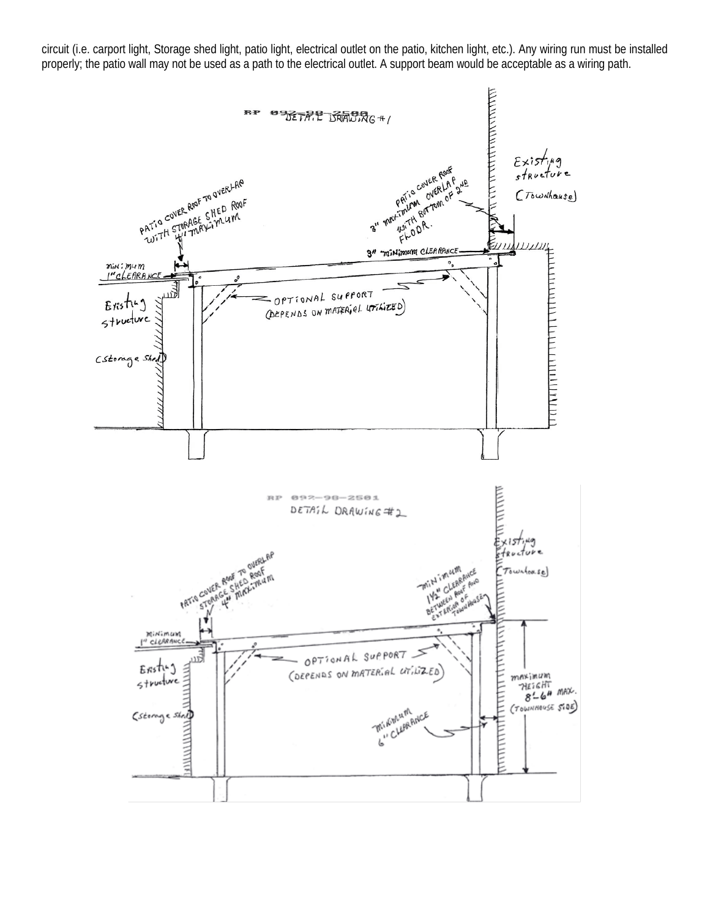circuit (i.e. carport light, Storage shed light, patio light, electrical outlet on the patio, kitchen light, etc.). Any wiring run must be installed properly; the patio wall may not be used as a path to the electrical outlet. A support beam would be acceptable as a wiring path.